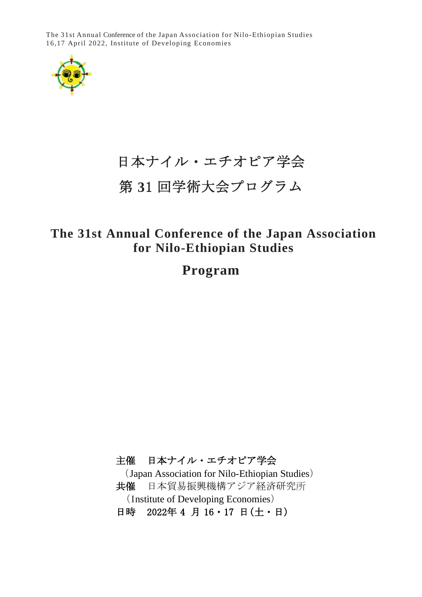The 31st Annual Conference of the Japan Association for Nilo-Ethiopian Studies 16,17 April 2022, Institute of Developing Economies



# 日本ナイル・エチオピア学会

## 第 **3**1 回学術大会プログラム

## **The 31st Annual Conference of the Japan Association for Nilo-Ethiopian Studies**

**Program**

主催 日本ナイル・エチオピア学会 (Japan Association for Nilo-Ethiopian Studies) 共催 日本貿易振興機構アジア経済研究所 (Institute of Developing Economies) 日時 2022年4月16·17日(土・日)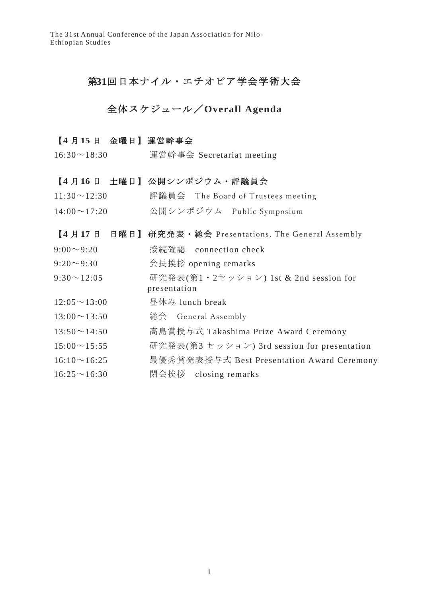### 第**31**回日本ナイル・エチオピア学会学術大会

## 全体スケジュール/**Overall Agenda**

#### 【**4** 月 **15** 日 金曜日】 運営幹事会

16:30~18:30 運営幹事会 Secretariat meeting

#### 【**4** 月 **16** 日 土曜日】 公開シンポジウム・評議員会

| $11:30 \sim 12:30$ | 評議員会 The Board of Trustees meeting |
|--------------------|------------------------------------|
|--------------------|------------------------------------|

14:00~17:20 公開シンポジウム Public Symposium

#### 【**4** 月 **17** 日 日曜日】 研究発表・総会 Presentations, The General Assembly

9:00~9:20 接続確認 connection check

- 9:20~9:30 会長挨拶 opening remarks
- 9:30~12:05 研究発表(第1・2セッション) 1st & 2nd session for presentation
- 12:05~13:00 昼休み lunch break

 $13:00 \sim 13:50$  総会 General Assembly

- 13:50~14:50 高島賞授与式 Takashima Prize Award Ceremony
- 15:00~15:55 研究発表(第3 セッション) 3rd session for presentation
- 16:10~16:25 最優秀賞発表授与式 Best Presentation Award Ceremony
- 16:25~16:30 閉会挨拶 closing remarks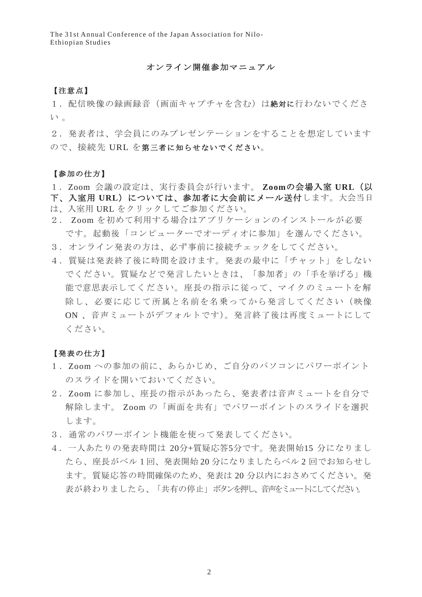#### オンライン開催参加マニュアル

#### 【注意点】

1.配信映像の録画録音(画面キャプチャを含む)は絶対に行わないでくださ  $V^{\prime}$ 。

2. 発表者は、学会員にのみプレゼンテーションをすることを想定しています ので、接続先 URL を第三者に知らせないでください。

#### 【参加の仕方】

1.Zoom 会議の設定は、実行委員会が行います。 **Zoom**の会場入室 **URL**(以

- 下、入室用 URL)については、参加者に大会前にメール送付します。大会当日 は、入室用 URL をクリックしてご参加ください。
- 2. Zoom を初めて利用する場合はアプリケーションのインストールが必要 です。起動後「コンピューターでオーディオに参加」を選んでください。
- 3.オンライン発表の方は、必ず事前に接続チェックをしてください。
- 4.質疑は発表終了後に時間を設けます。発表の最中に「チャット」をしない でください。質疑などで発言したいときは、「参加者」の「手を挙げる」機 能で意思表示してください。座長の指示に従って、マイクのミュートを解 除し、必要に応じて所属と名前を名乗ってから発言してください(映像 ON 、音声ミュートがデフォルトです)。発言終了後は再度ミュートにして ください。

#### 【発表の仕方】

- 1.Zoom への参加の前に、あらかじめ、ご自分のパソコンにパワーポイント のスライドを開いておいてください。
- 2. Zoom に参加し、座長の指示があったら、発表者は音声ミュートを自分で 解除します。 Zoom の「画面を共有」でパワーポイントのスライドを選択 します。
- 3.通常のパワーポイント機能を使って発表してください。
- 4.一人あたりの発表時間は 20分+質疑応答5分です。発表開始15 分になりまし たら、座長がベル1回、発表開始 20 分になりましたらベル 2 回でお知らせし ます。質疑応答の時間確保のため、発表は 20 分以内におさめてください。発 表が終わりましたら、「共有の停止」ボタンを押し、音声をミュートにしてください。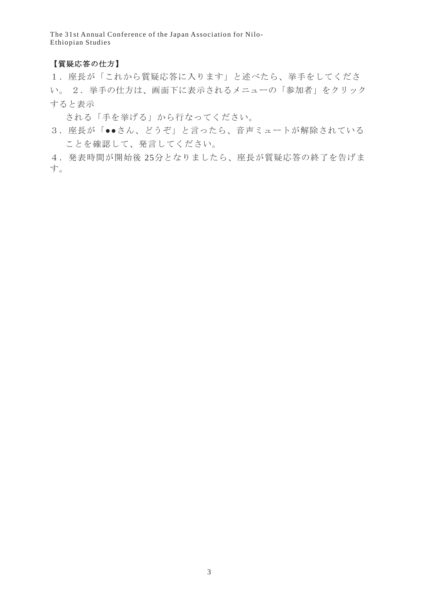#### 【質疑応答の仕方】

1.座長が「これから質疑応答に入ります」と述べたら、挙手をしてくださ い。 2.挙手の仕方は、画面下に表示されるメニューの「参加者」をクリック すると表示

される「手を挙げる」から行なってください。

3. 座長が「●●さん、どうぞ」と言ったら、音声ミュートが解除されている ことを確認して、発言してください。

4.発表時間が開始後 25分となりましたら、座長が質疑応答の終了を告げま す。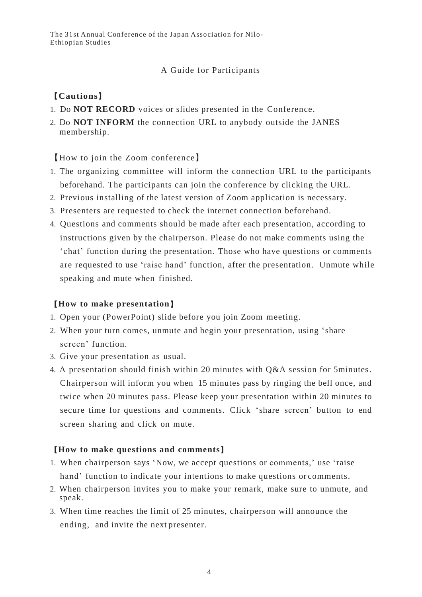#### A Guide for Participants

### 【**Cautions**】

- 1. Do **NOT RECORD** voices or slides presented in the Conference.
- 2. Do **NOT INFORM** the connection URL to anybody outside the JANES membership.

【How to join the Zoom conference】

- 1. The organizing committee will inform the connection URL to the participants beforehand. The participants can join the conference by clicking the URL.
- 2. Previous installing of the latest version of Zoom application is necessary.
- 3. Presenters are requested to check the internet connection beforehand.
- 4. Questions and comments should be made after each presentation, according to instructions given by the chairperson. Please do not make comments using the 'chat' function during the presentation. Those who have questions or comments are requested to use 'raise hand' function, after the presentation. Unmute while speaking and mute when finished.

#### 【**How to make presentation**】

- 1. Open your (PowerPoint) slide before you join Zoom meeting.
- 2. When your turn comes, unmute and begin your presentation, using 'share screen' function.
- 3. Give your presentation as usual.
- 4. A presentation should finish within 20 minutes with Q&A session for 5minutes. Chairperson will inform you when 15 minutes pass by ringing the bell once, and twice when 20 minutes pass. Please keep your presentation within 20 minutes to secure time for questions and comments. Click 'share screen' button to end screen sharing and click on mute.

#### 【**How to make questions and comments**】

- 1. When chairperson says 'Now, we accept questions or comments,' use 'raise hand' function to indicate your intentions to make questions or comments.
- 2. When chairperson invites you to make your remark, make sure to unmute, and speak.
- 3. When time reaches the limit of 25 minutes, chairperson will announce the ending, and invite the next presenter.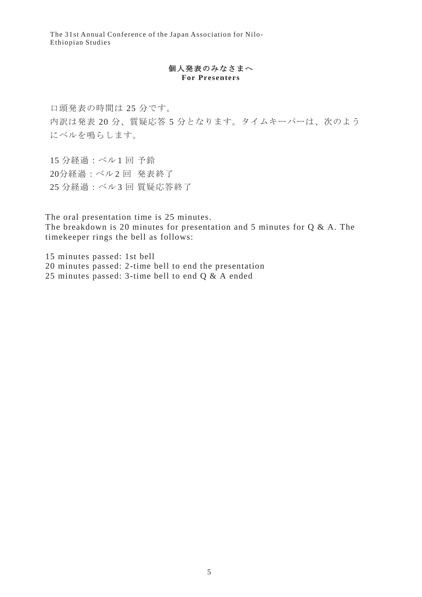#### 個人発表のみなさまへ **For Presenters**

口頭発表の時間は 25 分です。 内訳は発表 20 分、質疑応答 5 分となります。タイムキーパーは、次のよう にベルを鳴らします。

15 分経過:ベル 1 回 予鈴 20分経過:ベル2回発表終了 25 分経過:ベル 3 回 質疑応答終了

The oral presentation time is 25 minutes. The breakdown is 20 minutes for presentation and 5 minutes for  $Q & A$ . The timekeeper rings the bell as follows:

15 minutes passed: 1st bell 20 minutes passed: 2-time bell to end the presentation 25 minutes passed: 3-time bell to end Q & A ended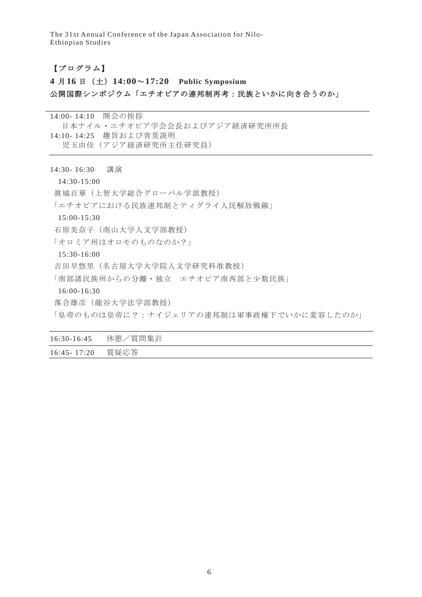#### 【プログラム】

## **4** 月**16** 日(土)**14:00**~**17:20 Public Symposium** 公開国際シンポジウム「エチオピアの連邦制再考:民族といかに向き合うのか」

14:00- 14:10 開会の挨拶 日本ナイル・エチオピア学会会長およびアジア経済研究所所長 14:10- 14:25 趣旨および背景説明 児玉由佳(アジア経済研究所主任研究員)

#### 14:30- 16:30 講演

14:30-15:00

眞城百華(上智大学総合グローバル学部教授)

「エチオピアにおける民族連邦制とティグライ人民解放戦線」

15:00-15:30

石原美奈子(南山大学人文学部教授)

「オロミア州はオロモのものなのか?」

15:30-16:00

吉田早悠里(名古屋大学大学院人文学研究科准教授)

「南部諸民族州からの分離・独立 エチオピア南西部と少数民族」

16:00-16:30

落合雄彦(龍谷大学法学部教授)

「皇帝のものは皇帝に?:ナイジェリアの連邦制は軍事政権下でいかに変容したのか」

| $16:30-16:45$   | 休憩/質問集計 |
|-----------------|---------|
| $16:45 - 17:20$ | 質疑応答    |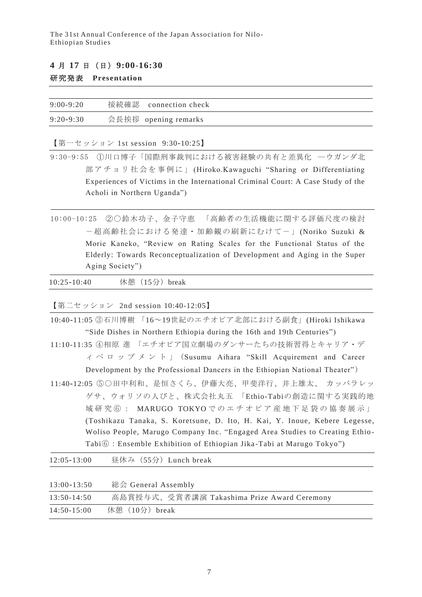#### **4** 月 **17** 日(日)**9:00**-**16:30**

#### 研究発表 **Presentation**

| $9:00-9:20$   | 接続確認 connection check |
|---------------|-----------------------|
| $9:20 - 9:30$ | 会長挨拶 opening remarks  |

【第一セッション 1st session 9:30-10:25】

9:30-9:55 ①川口博子「国際刑事裁判における被害経験の共有と差異化 ―ウガンダ北 部 ア チ ョ リ 社 会 を 事 例 に 」 (Hiroko.Kawaguchi "Sharing or Differentiating Experiences of Victims in the International Criminal Court: A Case Study of the Acholi in Northern Uganda")

10:00-10:25 ②〇鈴木功子、金子守恵 「高齢者の生活機能に関する評価尺度の検討 -超高齢社会における発達・加齢観の刷新にむけて- 」(Noriko Suzuki & Morie Kaneko, "Review on Rating Scales for the Functional Status of the Elderly: Towards Reconceptualization of Development and Aging in the Super Aging Society")

| $10:25 - 10:40$ | 休憩 (15分) break |  |
|-----------------|----------------|--|
|-----------------|----------------|--|

【第二セッション 2nd session 10:40-12:05】

| 10:40-11:05 3石川博樹 「16~19世紀のエチオピア北部における副食」(Hiroki Ishikawa                                                                |
|--------------------------------------------------------------------------------------------------------------------------|
| "Side Dishes in Northern Ethiopia during the 16th and 19th Centuries")                                                   |
| 11:10-11:35 4相原 進 「エチオピア国立劇場のダンサーたちの技術習得とキャリア・デ                                                                          |
| $\gamma$ $\sim$ $\alpha$ $\gamma$ $\gamma$ $\gamma$ $\sim$ $\beta$ $\gamma$ (Susumu Aihara "Skill Acquirement and Career |
| Development by the Professional Dancers in the Ethiopian National Theater")                                              |
| 11:40-12:05 50田中利和、是恒さくら、伊藤大亮、甲斐洋行、井上雄太、 カッバラレッ                                                                          |
| ゲサ、ウォリソの人びと、株式会社丸五 「Ethio-Tabiの創造に関する実践的地                                                                                |
| 域研究60: MARUGO TOKYOでのエチオピア産地下足袋の協奏展示」                                                                                    |
| (Toshikazu Tanaka, S. Koretsune, D. Ito, H. Kai, Y. Inoue, Kebere Legesse,                                               |
| Woliso People, Marugo Company Inc. "Engaged Area Studies to Creating Ethio-                                              |
| Tabi $\textcircled{\scriptsize{6}}$ : Ensemble Exhibition of Ethiopian Jika-Tabi at Marugo Tokyo")                       |
|                                                                                                                          |

| $12:05 - 13:00$ | 昼休み (55分) Lunch break                       |
|-----------------|---------------------------------------------|
|                 |                                             |
| $13:00 - 13:50$ | 総会 General Assembly                         |
| $13:50-14:50$   | 高島賞授与式、受賞者講演 Takashima Prize Award Ceremony |
| $14:50-15:00$   | 休憩 (10分) break                              |